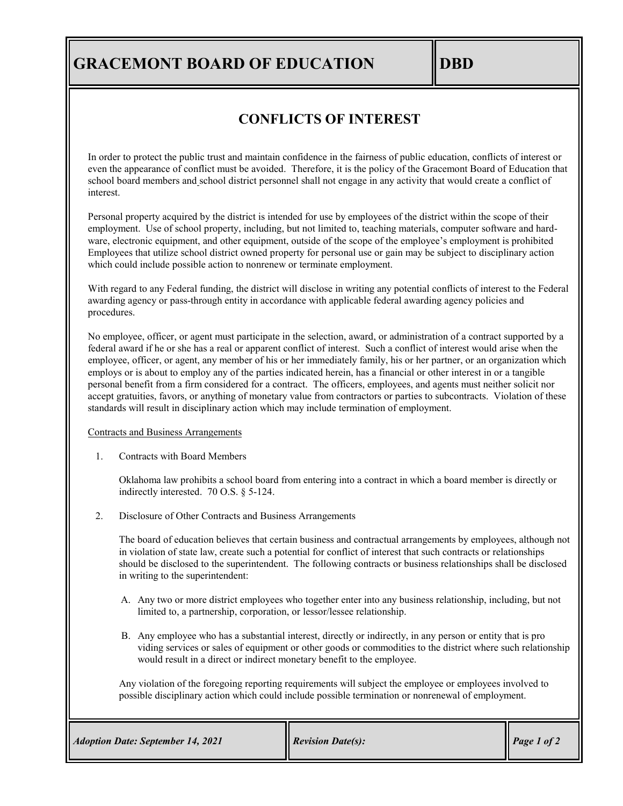# **GRACEMONT BOARD OF EDUCATION DBD**

## **CONFLICTS OF INTEREST**

In order to protect the public trust and maintain confidence in the fairness of public education, conflicts of interest or even the appearance of conflict must be avoided. Therefore, it is the policy of the Gracemont Board of Education that school board members and school district personnel shall not engage in any activity that would create a conflict of interest.

Personal property acquired by the district is intended for use by employees of the district within the scope of their employment. Use of school property, including, but not limited to, teaching materials, computer software and hardware, electronic equipment, and other equipment, outside of the scope of the employee's employment is prohibited Employees that utilize school district owned property for personal use or gain may be subject to disciplinary action which could include possible action to nonrenew or terminate employment.

With regard to any Federal funding, the district will disclose in writing any potential conflicts of interest to the Federal awarding agency or pass-through entity in accordance with applicable federal awarding agency policies and procedures.

No employee, officer, or agent must participate in the selection, award, or administration of a contract supported by a federal award if he or she has a real or apparent conflict of interest. Such a conflict of interest would arise when the employee, officer, or agent, any member of his or her immediately family, his or her partner, or an organization which employs or is about to employ any of the parties indicated herein, has a financial or other interest in or a tangible personal benefit from a firm considered for a contract. The officers, employees, and agents must neither solicit nor accept gratuities, favors, or anything of monetary value from contractors or parties to subcontracts. Violation of these standards will result in disciplinary action which may include termination of employment.

#### Contracts and Business Arrangements

1. Contracts with Board Members

Oklahoma law prohibits a school board from entering into a contract in which a board member is directly or indirectly interested. 70 O.S. § 5-124.

2. Disclosure of Other Contracts and Business Arrangements

The board of education believes that certain business and contractual arrangements by employees, although not in violation of state law, create such a potential for conflict of interest that such contracts or relationships should be disclosed to the superintendent. The following contracts or business relationships shall be disclosed in writing to the superintendent:

- A. Any two or more district employees who together enter into any business relationship, including, but not limited to, a partnership, corporation, or lessor/lessee relationship.
- B. Any employee who has a substantial interest, directly or indirectly, in any person or entity that is pro viding services or sales of equipment or other goods or commodities to the district where such relationship would result in a direct or indirect monetary benefit to the employee.

Any violation of the foregoing reporting requirements will subject the employee or employees involved to possible disciplinary action which could include possible termination or nonrenewal of employment.